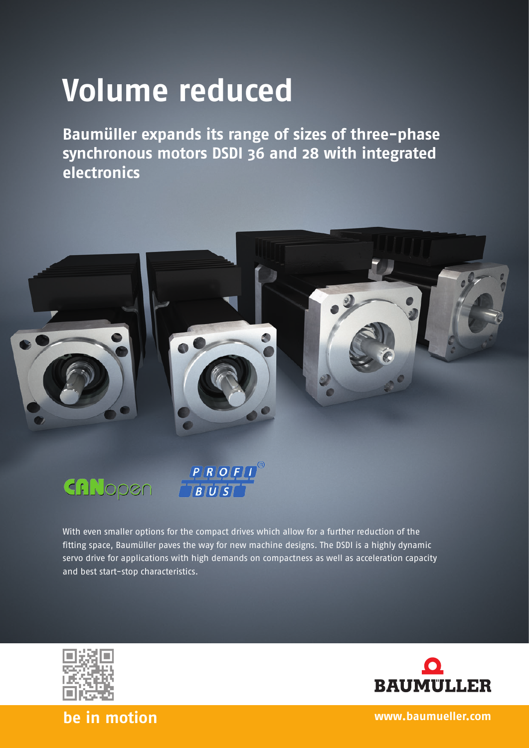## **Volume reduced**

**Baumüller expands its range of sizes of three-phase synchronous motors DSDI 36 and 28 with integrated electronics** 



CANopen



With even smaller options for the compact drives which allow for a further reduction of the fitting space, Baumüller paves the way for new machine designs. The DSDI is a highly dynamic servo drive for applications with high demands on compactness as well as acceleration capacity and best start-stop characteristics.





**be in motion www.baumueller.com**